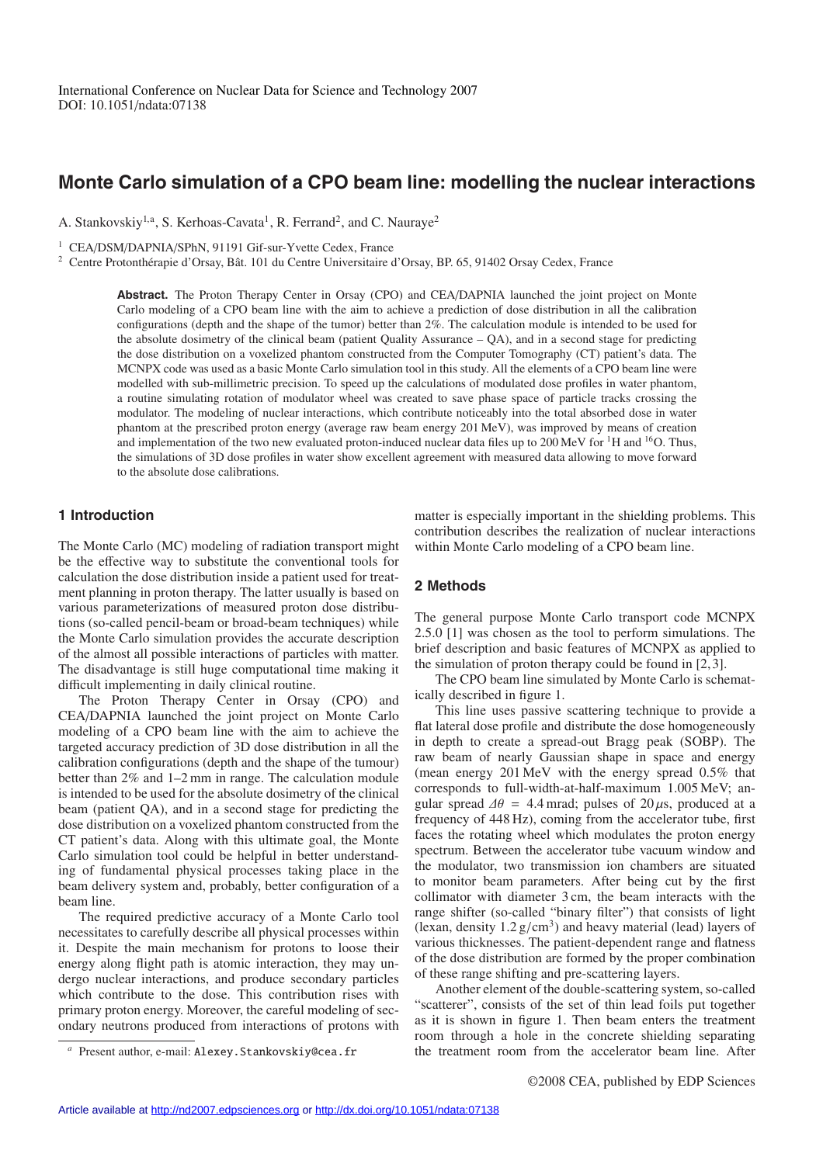# **Monte Carlo simulation of a CPO beam line: modelling the nuclear interactions**

A. Stankovskiy<sup>1,a</sup>, S. Kerhoas-Cavata<sup>1</sup>, R. Ferrand<sup>2</sup>, and C. Nauraye<sup>2</sup>

<sup>1</sup> CEA/DSM/DAPNIA/SPhN, 91191 Gif-sur-Yvette Cedex, France

<sup>2</sup> Centre Protonthérapie d'Orsay, Bât. 101 du Centre Universitaire d'Orsay, BP. 65, 91402 Orsay Cedex, France

**Abstract.** The Proton Therapy Center in Orsay (CPO) and CEA/DAPNIA launched the joint project on Monte Carlo modeling of a CPO beam line with the aim to achieve a prediction of dose distribution in all the calibration configurations (depth and the shape of the tumor) better than 2%. The calculation module is intended to be used for the absolute dosimetry of the clinical beam (patient Quality Assurance – QA), and in a second stage for predicting the dose distribution on a voxelized phantom constructed from the Computer Tomography (CT) patient's data. The MCNPX code was used as a basic Monte Carlo simulation tool in this study. All the elements of a CPO beam line were modelled with sub-millimetric precision. To speed up the calculations of modulated dose profiles in water phantom, a routine simulating rotation of modulator wheel was created to save phase space of particle tracks crossing the modulator. The modeling of nuclear interactions, which contribute noticeably into the total absorbed dose in water phantom at the prescribed proton energy (average raw beam energy 201 MeV), was improved by means of creation and implementation of the two new evaluated proton-induced nuclear data files up to 200 MeV for <sup>1</sup>H and <sup>16</sup>O. Thus, the simulations of 3D dose profiles in water show excellent agreement with measured data allowing to move forward to the absolute dose calibrations.

# **1 Introduction**

The Monte Carlo (MC) modeling of radiation transport might be the effective way to substitute the conventional tools for calculation the dose distribution inside a patient used for treatment planning in proton therapy. The latter usually is based on various parameterizations of measured proton dose distributions (so-called pencil-beam or broad-beam techniques) while the Monte Carlo simulation provides the accurate description of the almost all possible interactions of particles with matter. The disadvantage is still huge computational time making it difficult implementing in daily clinical routine.

The Proton Therapy Center in Orsay (CPO) and CEA/DAPNIA launched the joint project on Monte Carlo modeling of a CPO beam line with the aim to achieve the targeted accuracy prediction of 3D dose distribution in all the calibration configurations (depth and the shape of the tumour) better than 2% and 1–2 mm in range. The calculation module is intended to be used for the absolute dosimetry of the clinical beam (patient QA), and in a second stage for predicting the dose distribution on a voxelized phantom constructed from the CT patient's data. Along with this ultimate goal, the Monte Carlo simulation tool could be helpful in better understanding of fundamental physical processes taking place in the beam delivery system and, probably, better configuration of a beam line.

The required predictive accuracy of a Monte Carlo tool necessitates to carefully describe all physical processes within it. Despite the main mechanism for protons to loose their energy along flight path is atomic interaction, they may undergo nuclear interactions, and produce secondary particles which contribute to the dose. This contribution rises with primary proton energy. Moreover, the careful modeling of secondary neutrons produced from interactions of protons with matter is especially important in the shielding problems. This contribution describes the realization of nuclear interactions within Monte Carlo modeling of a CPO beam line.

#### **2 Methods**

The general purpose Monte Carlo transport code MCNPX 2.5.0 [1] was chosen as the tool to perform simulations. The brief description and basic features of MCNPX as applied to the simulation of proton therapy could be found in [2, 3].

The CPO beam line simulated by Monte Carlo is schematically described in figure 1.

This line uses passive scattering technique to provide a flat lateral dose profile and distribute the dose homogeneously in depth to create a spread-out Bragg peak (SOBP). The raw beam of nearly Gaussian shape in space and energy (mean energy 201 MeV with the energy spread 0.5% that corresponds to full-width-at-half-maximum 1.005 MeV; angular spread  $\Delta\theta = 4.4$  mrad; pulses of 20  $\mu$ s, produced at a frequency of 448 Hz), coming from the accelerator tube, first faces the rotating wheel which modulates the proton energy spectrum. Between the accelerator tube vacuum window and the modulator, two transmission ion chambers are situated to monitor beam parameters. After being cut by the first collimator with diameter 3 cm, the beam interacts with the range shifter (so-called "binary filter") that consists of light (lexan, density  $1.2 \text{ g/cm}^3$ ) and heavy material (lead) layers of various thicknesses. The patient-dependent range and flatness of the dose distribution are formed by the proper combination of these range shifting and pre-scattering layers.

Another element of the double-scattering system, so-called "scatterer", consists of the set of thin lead foils put together as it is shown in figure 1. Then beam enters the treatment room through a hole in the concrete shielding separating the treatment room from the accelerator beam line. After

Present author, e-mail: Alexey. Stankovskiy@cea.fr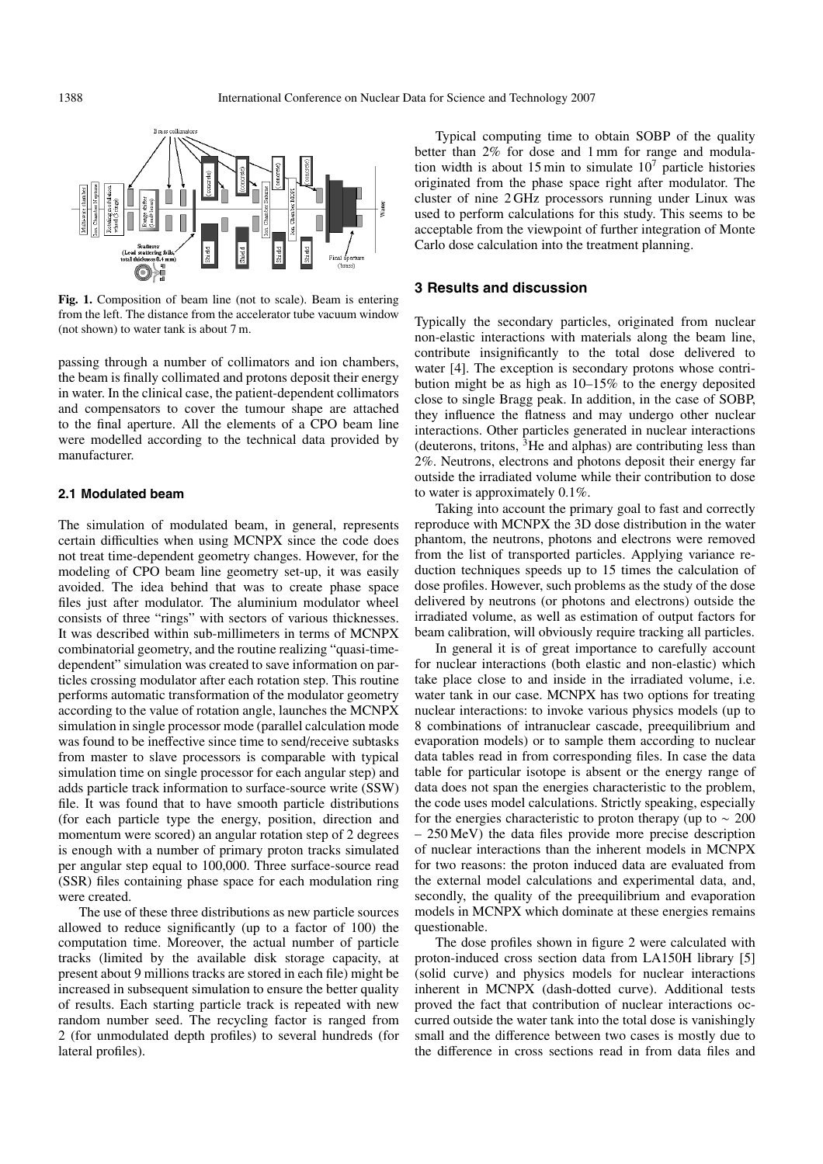

**Fig. 1.** Composition of beam line (not to scale). Beam is entering from the left. The distance from the accelerator tube vacuum window (not shown) to water tank is about 7 m.

passing through a number of collimators and ion chambers, the beam is finally collimated and protons deposit their energy in water. In the clinical case, the patient-dependent collimators and compensators to cover the tumour shape are attached to the final aperture. All the elements of a CPO beam line were modelled according to the technical data provided by manufacturer.

### **2.1 Modulated beam**

The simulation of modulated beam, in general, represents certain difficulties when using MCNPX since the code does not treat time-dependent geometry changes. However, for the modeling of CPO beam line geometry set-up, it was easily avoided. The idea behind that was to create phase space files just after modulator. The aluminium modulator wheel consists of three "rings" with sectors of various thicknesses. It was described within sub-millimeters in terms of MCNPX combinatorial geometry, and the routine realizing "quasi-timedependent" simulation was created to save information on particles crossing modulator after each rotation step. This routine performs automatic transformation of the modulator geometry according to the value of rotation angle, launches the MCNPX simulation in single processor mode (parallel calculation mode was found to be ineffective since time to send/receive subtasks from master to slave processors is comparable with typical simulation time on single processor for each angular step) and adds particle track information to surface-source write (SSW) file. It was found that to have smooth particle distributions (for each particle type the energy, position, direction and momentum were scored) an angular rotation step of 2 degrees is enough with a number of primary proton tracks simulated per angular step equal to 100,000. Three surface-source read (SSR) files containing phase space for each modulation ring were created.

The use of these three distributions as new particle sources allowed to reduce significantly (up to a factor of 100) the computation time. Moreover, the actual number of particle tracks (limited by the available disk storage capacity, at present about 9 millions tracks are stored in each file) might be increased in subsequent simulation to ensure the better quality of results. Each starting particle track is repeated with new random number seed. The recycling factor is ranged from 2 (for unmodulated depth profiles) to several hundreds (for lateral profiles).

Typical computing time to obtain SOBP of the quality better than 2% for dose and 1 mm for range and modulation width is about 15 min to simulate  $10<sup>7</sup>$  particle histories originated from the phase space right after modulator. The cluster of nine 2 GHz processors running under Linux was used to perform calculations for this study. This seems to be acceptable from the viewpoint of further integration of Monte Carlo dose calculation into the treatment planning.

## **3 Results and discussion**

Typically the secondary particles, originated from nuclear non-elastic interactions with materials along the beam line, contribute insignificantly to the total dose delivered to water [4]. The exception is secondary protons whose contribution might be as high as 10–15% to the energy deposited close to single Bragg peak. In addition, in the case of SOBP, they influence the flatness and may undergo other nuclear interactions. Other particles generated in nuclear interactions (deuterons, tritons,  ${}^{3}$ He and alphas) are contributing less than 2%. Neutrons, electrons and photons deposit their energy far outside the irradiated volume while their contribution to dose to water is approximately 0.1%.

Taking into account the primary goal to fast and correctly reproduce with MCNPX the 3D dose distribution in the water phantom, the neutrons, photons and electrons were removed from the list of transported particles. Applying variance reduction techniques speeds up to 15 times the calculation of dose profiles. However, such problems as the study of the dose delivered by neutrons (or photons and electrons) outside the irradiated volume, as well as estimation of output factors for beam calibration, will obviously require tracking all particles.

In general it is of great importance to carefully account for nuclear interactions (both elastic and non-elastic) which take place close to and inside in the irradiated volume, i.e. water tank in our case. MCNPX has two options for treating nuclear interactions: to invoke various physics models (up to 8 combinations of intranuclear cascade, preequilibrium and evaporation models) or to sample them according to nuclear data tables read in from corresponding files. In case the data table for particular isotope is absent or the energy range of data does not span the energies characteristic to the problem, the code uses model calculations. Strictly speaking, especially for the energies characteristic to proton therapy (up to  $\sim 200$ – 250 MeV) the data files provide more precise description of nuclear interactions than the inherent models in MCNPX for two reasons: the proton induced data are evaluated from the external model calculations and experimental data, and, secondly, the quality of the preequilibrium and evaporation models in MCNPX which dominate at these energies remains questionable.

The dose profiles shown in figure 2 were calculated with proton-induced cross section data from LA150H library [5] (solid curve) and physics models for nuclear interactions inherent in MCNPX (dash-dotted curve). Additional tests proved the fact that contribution of nuclear interactions occurred outside the water tank into the total dose is vanishingly small and the difference between two cases is mostly due to the difference in cross sections read in from data files and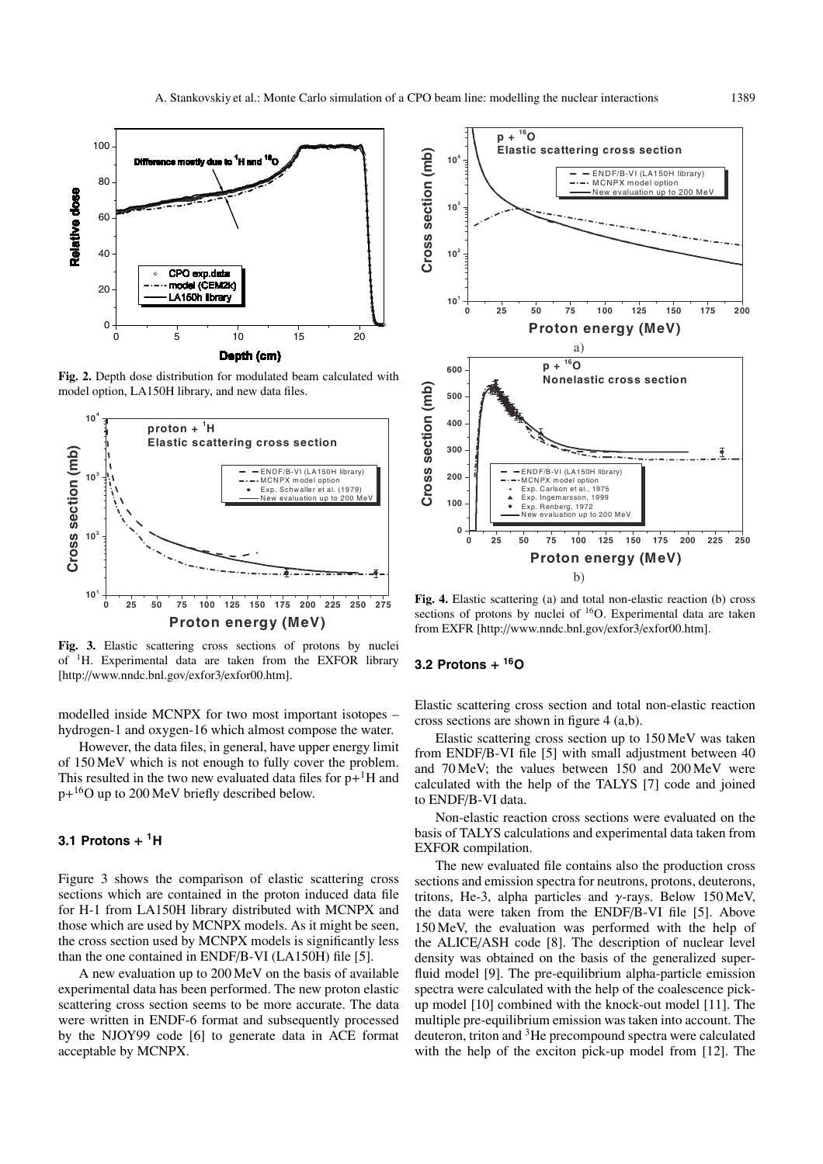

**Fig. 2.** Depth dose distribution for modulated beam calculated with model option, LA150H library, and new data files.



**Fig. 3.** Elastic scattering cross sections of protons by nuclei of 1H. Experimental data are taken from the EXFOR library [http://www.nndc.bnl.gov/exfor3/exfor00.htm].

modelled inside MCNPX for two most important isotopes – hydrogen-1 and oxygen-16 which almost compose the water.

However, the data files, in general, have upper energy limit of 150 MeV which is not enough to fully cover the problem. This resulted in the two new evaluated data files for  $p+$ <sup>1</sup>H and p+16O up to 200 MeV briefly described below.

### **3.1 Protons** + **1H**

Figure 3 shows the comparison of elastic scattering cross sections which are contained in the proton induced data file for H-1 from LA150H library distributed with MCNPX and those which are used by MCNPX models. As it might be seen, the cross section used by MCNPX models is significantly less than the one contained in ENDF/B-VI (LA150H) file [5].

A new evaluation up to 200 MeV on the basis of available experimental data has been performed. The new proton elastic scattering cross section seems to be more accurate. The data were written in ENDF-6 format and subsequently processed by the NJOY99 code [6] to generate data in ACE format acceptable by MCNPX.



**Fig. 4.** Elastic scattering (a) and total non-elastic reaction (b) cross sections of protons by nuclei of <sup>16</sup>O. Experimental data are taken from EXFR [http://www.nndc.bnl.gov/exfor3/exfor00.htm].

#### **3.2 Protons** + **16O**

Elastic scattering cross section and total non-elastic reaction cross sections are shown in figure 4 (a,b).

Elastic scattering cross section up to 150 MeV was taken from ENDF/B-VI file [5] with small adjustment between 40 and 70 MeV; the values between 150 and 200 MeV were calculated with the help of the TALYS [7] code and joined to ENDF/B-VI data.

Non-elastic reaction cross sections were evaluated on the basis of TALYS calculations and experimental data taken from EXFOR compilation.

The new evaluated file contains also the production cross sections and emission spectra for neutrons, protons, deuterons, tritons, He-3, alpha particles and  $\nu$ -rays. Below 150 MeV, the data were taken from the ENDF/B-VI file [5]. Above 150 MeV, the evaluation was performed with the help of the ALICE/ASH code [8]. The description of nuclear level density was obtained on the basis of the generalized superfluid model [9]. The pre-equilibrium alpha-particle emission spectra were calculated with the help of the coalescence pickup model [10] combined with the knock-out model [11]. The multiple pre-equilibrium emission was taken into account. The deuteron, triton and 3He precompound spectra were calculated with the help of the exciton pick-up model from [12]. The